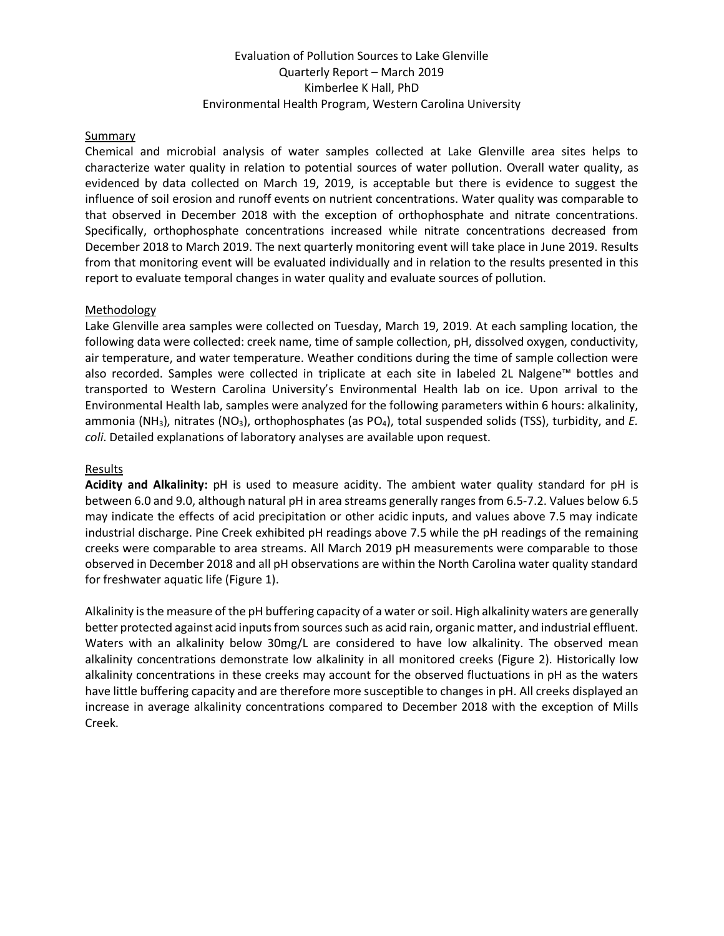# Evaluation of Pollution Sources to Lake Glenville Quarterly Report – March 2019 Kimberlee K Hall, PhD Environmental Health Program, Western Carolina University

### **Summary**

Chemical and microbial analysis of water samples collected at Lake Glenville area sites helps to characterize water quality in relation to potential sources of water pollution. Overall water quality, as evidenced by data collected on March 19, 2019, is acceptable but there is evidence to suggest the influence of soil erosion and runoff events on nutrient concentrations. Water quality was comparable to that observed in December 2018 with the exception of orthophosphate and nitrate concentrations. Specifically, orthophosphate concentrations increased while nitrate concentrations decreased from December 2018 to March 2019. The next quarterly monitoring event will take place in June 2019. Results from that monitoring event will be evaluated individually and in relation to the results presented in this report to evaluate temporal changes in water quality and evaluate sources of pollution.

#### Methodology

Lake Glenville area samples were collected on Tuesday, March 19, 2019. At each sampling location, the following data were collected: creek name, time of sample collection, pH, dissolved oxygen, conductivity, air temperature, and water temperature. Weather conditions during the time of sample collection were also recorded. Samples were collected in triplicate at each site in labeled 2L Nalgene™ bottles and transported to Western Carolina University's Environmental Health lab on ice. Upon arrival to the Environmental Health lab, samples were analyzed for the following parameters within 6 hours: alkalinity, ammonia (NH<sub>3</sub>), nitrates (NO<sub>3</sub>), orthophosphates (as PO<sub>4</sub>), total suspended solids (TSS), turbidity, and *E*. *coli*. Detailed explanations of laboratory analyses are available upon request.

#### Results

**Acidity and Alkalinity:** pH is used to measure acidity. The ambient water quality standard for pH is between 6.0 and 9.0, although natural pH in area streams generally ranges from 6.5-7.2. Values below 6.5 may indicate the effects of acid precipitation or other acidic inputs, and values above 7.5 may indicate industrial discharge. Pine Creek exhibited pH readings above 7.5 while the pH readings of the remaining creeks were comparable to area streams. All March 2019 pH measurements were comparable to those observed in December 2018 and all pH observations are within the North Carolina water quality standard for freshwater aquatic life (Figure 1).

Alkalinity is the measure of the pH buffering capacity of a water or soil. High alkalinity waters are generally better protected against acid inputs from sources such as acid rain, organic matter, and industrial effluent. Waters with an alkalinity below 30mg/L are considered to have low alkalinity. The observed mean alkalinity concentrations demonstrate low alkalinity in all monitored creeks (Figure 2). Historically low alkalinity concentrations in these creeks may account for the observed fluctuations in pH as the waters have little buffering capacity and are therefore more susceptible to changes in pH. All creeks displayed an increase in average alkalinity concentrations compared to December 2018 with the exception of Mills Creek.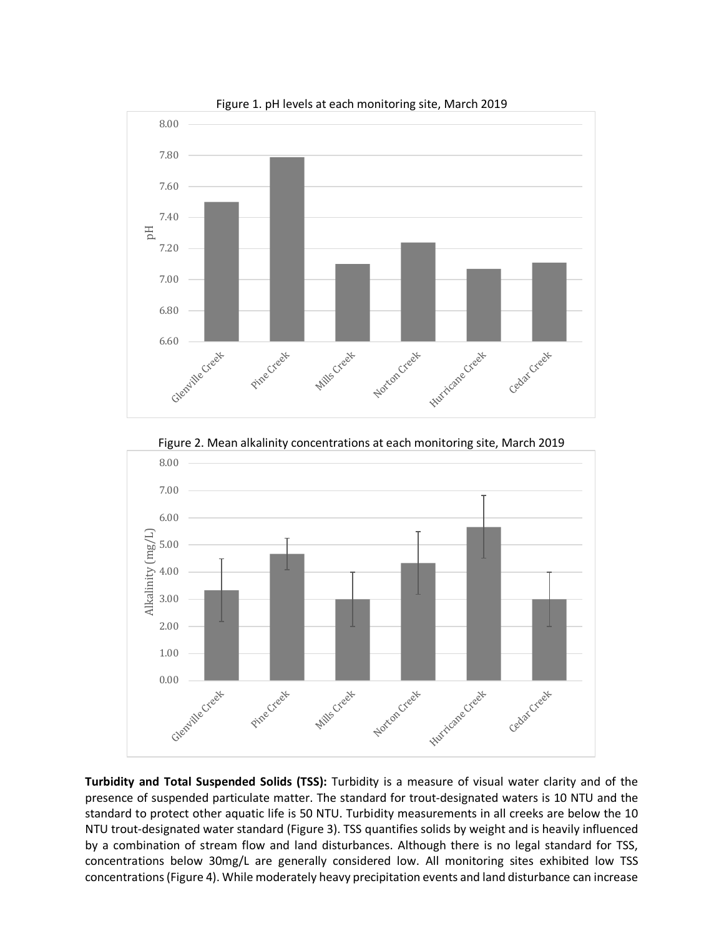

Figure 1. pH levels at each monitoring site, March 2019

Figure 2. Mean alkalinity concentrations at each monitoring site, March 2019



**Turbidity and Total Suspended Solids (TSS):** Turbidity is a measure of visual water clarity and of the presence of suspended particulate matter. The standard for trout-designated waters is 10 NTU and the standard to protect other aquatic life is 50 NTU. Turbidity measurements in all creeks are below the 10 NTU trout-designated water standard (Figure 3). TSS quantifies solids by weight and is heavily influenced by a combination of stream flow and land disturbances. Although there is no legal standard for TSS, concentrations below 30mg/L are generally considered low. All monitoring sites exhibited low TSS concentrations (Figure 4). While moderately heavy precipitation events and land disturbance can increase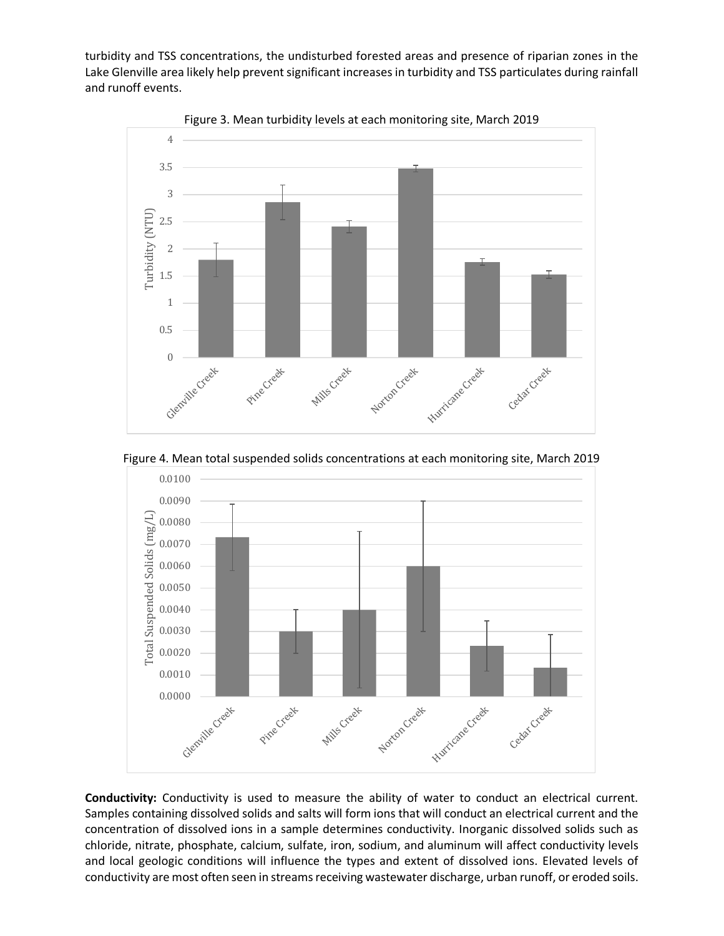turbidity and TSS concentrations, the undisturbed forested areas and presence of riparian zones in the Lake Glenville area likely help prevent significant increases in turbidity and TSS particulates during rainfall and runoff events.



Figure 3. Mean turbidity levels at each monitoring site, March 2019

Figure 4. Mean total suspended solids concentrations at each monitoring site, March 2019



**Conductivity:** Conductivity is used to measure the ability of water to conduct an electrical current. Samples containing dissolved solids and salts will form ions that will conduct an electrical current and the concentration of dissolved ions in a sample determines conductivity. Inorganic dissolved solids such as chloride, nitrate, phosphate, calcium, sulfate, iron, sodium, and aluminum will affect conductivity levels and local geologic conditions will influence the types and extent of dissolved ions. Elevated levels of conductivity are most often seen in streams receiving wastewater discharge, urban runoff, or eroded soils.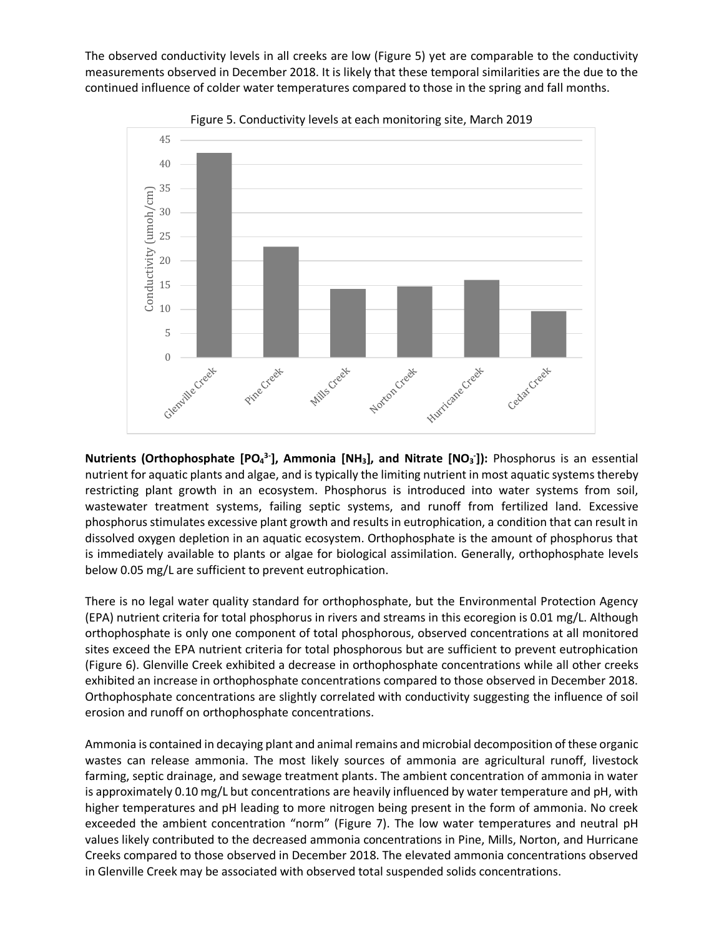The observed conductivity levels in all creeks are low (Figure 5) yet are comparable to the conductivity measurements observed in December 2018. It is likely that these temporal similarities are the due to the continued influence of colder water temperatures compared to those in the spring and fall months.

![](_page_3_Figure_1.jpeg)

Figure 5. Conductivity levels at each monitoring site, March 2019

**Nutrients (Orthophosphate [PO<sub>4</sub><sup>3-</sup>], Ammonia [NH<sub>3</sub>], and Nitrate [NO<sub>3</sub><sup>-</sup>]): Phosphorus is an essential** nutrient for aquatic plants and algae, and is typically the limiting nutrient in most aquatic systems thereby restricting plant growth in an ecosystem. Phosphorus is introduced into water systems from soil, wastewater treatment systems, failing septic systems, and runoff from fertilized land. Excessive phosphorus stimulates excessive plant growth and results in eutrophication, a condition that can result in dissolved oxygen depletion in an aquatic ecosystem. Orthophosphate is the amount of phosphorus that is immediately available to plants or algae for biological assimilation. Generally, orthophosphate levels below 0.05 mg/L are sufficient to prevent eutrophication.

There is no legal water quality standard for orthophosphate, but the Environmental Protection Agency (EPA) nutrient criteria for total phosphorus in rivers and streams in this ecoregion is 0.01 mg/L. Although orthophosphate is only one component of total phosphorous, observed concentrations at all monitored sites exceed the EPA nutrient criteria for total phosphorous but are sufficient to prevent eutrophication (Figure 6). Glenville Creek exhibited a decrease in orthophosphate concentrations while all other creeks exhibited an increase in orthophosphate concentrations compared to those observed in December 2018. Orthophosphate concentrations are slightly correlated with conductivity suggesting the influence of soil erosion and runoff on orthophosphate concentrations.

Ammonia is contained in decaying plant and animal remains and microbial decomposition of these organic wastes can release ammonia. The most likely sources of ammonia are agricultural runoff, livestock farming, septic drainage, and sewage treatment plants. The ambient concentration of ammonia in water is approximately 0.10 mg/L but concentrations are heavily influenced by water temperature and pH, with higher temperatures and pH leading to more nitrogen being present in the form of ammonia. No creek exceeded the ambient concentration "norm" (Figure 7). The low water temperatures and neutral pH values likely contributed to the decreased ammonia concentrations in Pine, Mills, Norton, and Hurricane Creeks compared to those observed in December 2018. The elevated ammonia concentrations observed in Glenville Creek may be associated with observed total suspended solids concentrations.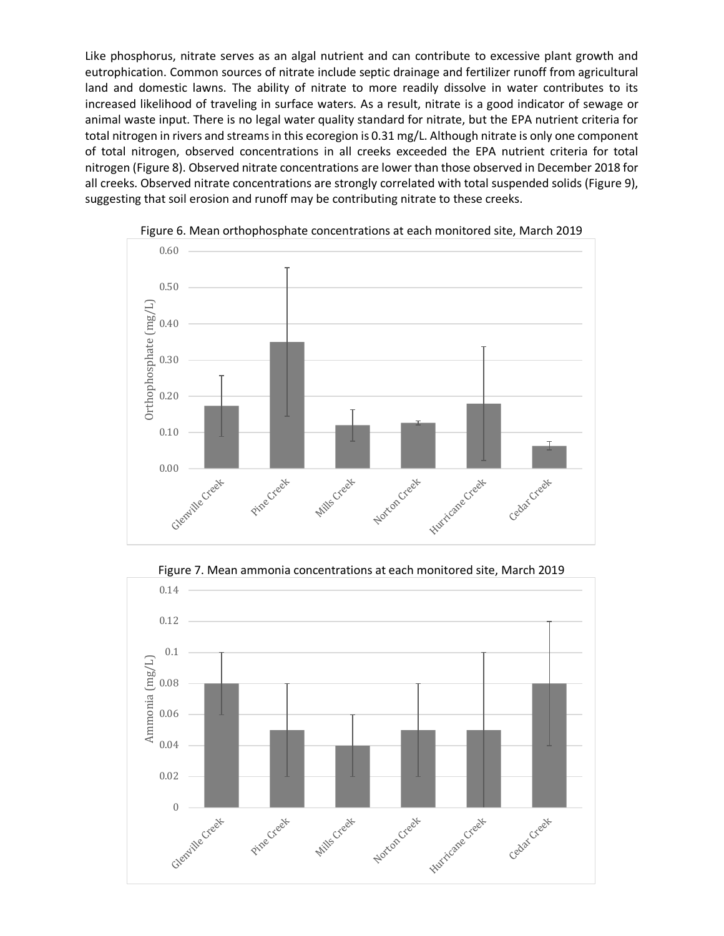Like phosphorus, nitrate serves as an algal nutrient and can contribute to excessive plant growth and eutrophication. Common sources of nitrate include septic drainage and fertilizer runoff from agricultural land and domestic lawns. The ability of nitrate to more readily dissolve in water contributes to its increased likelihood of traveling in surface waters. As a result, nitrate is a good indicator of sewage or animal waste input. There is no legal water quality standard for nitrate, but the EPA nutrient criteria for total nitrogen in rivers and streams in this ecoregion is 0.31 mg/L. Although nitrate is only one component of total nitrogen, observed concentrations in all creeks exceeded the EPA nutrient criteria for total nitrogen (Figure 8). Observed nitrate concentrations are lower than those observed in December 2018 for all creeks. Observed nitrate concentrations are strongly correlated with total suspended solids (Figure 9), suggesting that soil erosion and runoff may be contributing nitrate to these creeks.

![](_page_4_Figure_1.jpeg)

Figure 6. Mean orthophosphate concentrations at each monitored site, March 2019

![](_page_4_Figure_3.jpeg)

Figure 7. Mean ammonia concentrations at each monitored site, March 2019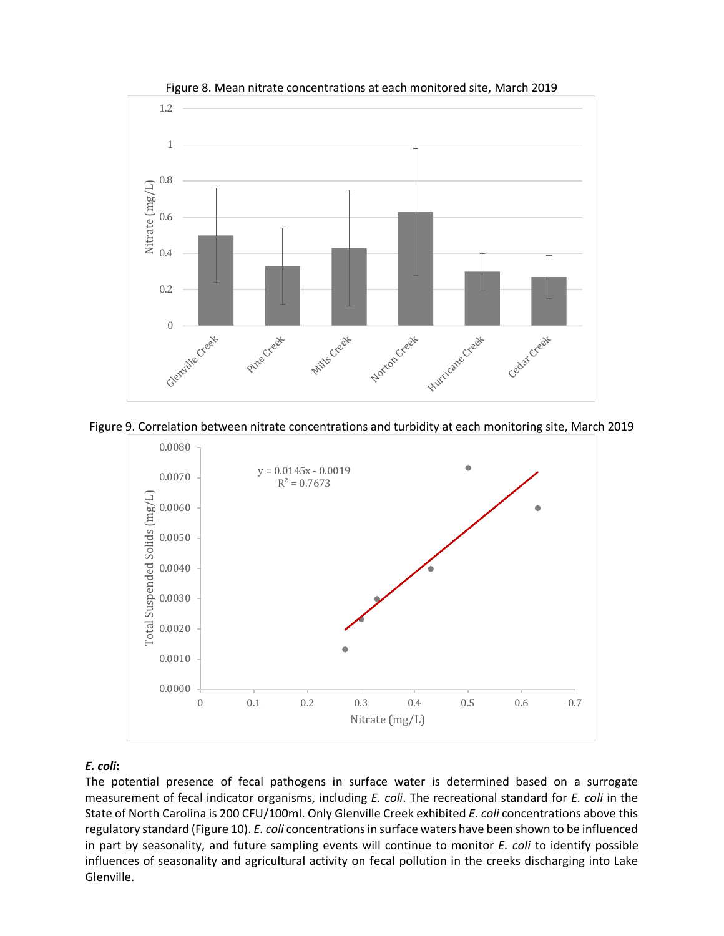![](_page_5_Figure_0.jpeg)

Figure 8. Mean nitrate concentrations at each monitored site, March 2019

![](_page_5_Figure_2.jpeg)

![](_page_5_Figure_3.jpeg)

## *E. coli***:**

The potential presence of fecal pathogens in surface water is determined based on a surrogate measurement of fecal indicator organisms, including *E. coli*. The recreational standard for *E. coli* in the State of North Carolina is 200 CFU/100ml. Only Glenville Creek exhibited *E. coli* concentrations above this regulatory standard (Figure 10). *E. coli* concentrations in surface waters have been shown to be influenced in part by seasonality, and future sampling events will continue to monitor *E. coli* to identify possible influences of seasonality and agricultural activity on fecal pollution in the creeks discharging into Lake Glenville.